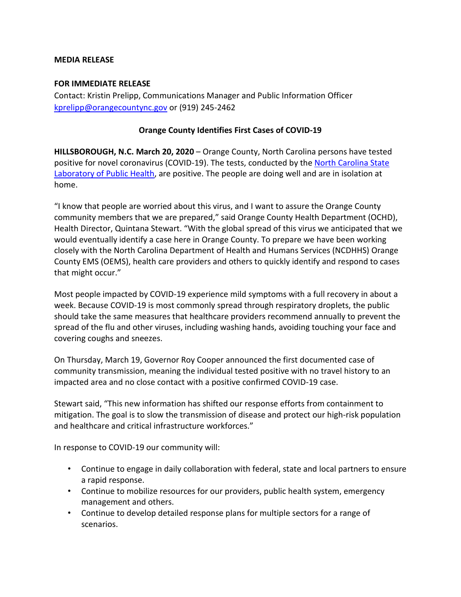## **MEDIA RELEASE**

## **FOR IMMEDIATE RELEASE**

Contact: Kristin Prelipp, Communications Manager and Public Information Officer [kprelipp@orangecountync.gov](mailto:kprelipp@orangecountync.gov) or (919) 245-2462

## **Orange County Identifies First Cases of COVID-19**

**HILLSBOROUGH, N.C. March 20, 2020** – Orange County, North Carolina persons have tested positive for novel coronavirus (COVID-19). The tests, conducted by th[e North Carolina State](https://slph.ncpublichealth.com/)  [Laboratory of Public Health,](https://slph.ncpublichealth.com/) are positive. The people are doing well and are in isolation at home.

"I know that people are worried about this virus, and I want to assure the Orange County community members that we are prepared," said Orange County Health Department (OCHD), Health Director, Quintana Stewart. "With the global spread of this virus we anticipated that we would eventually identify a case here in Orange County. To prepare we have been working closely with the North Carolina Department of Health and Humans Services (NCDHHS) Orange County EMS (OEMS), health care providers and others to quickly identify and respond to cases that might occur."

Most people impacted by COVID-19 experience mild symptoms with a full recovery in about a week. Because COVID-19 is most commonly spread through respiratory droplets, the public should take the same measures that healthcare providers recommend annually to prevent the spread of the flu and other viruses, including washing hands, avoiding touching your face and covering coughs and sneezes.

On Thursday, March 19, Governor Roy Cooper announced the first documented case of community transmission, meaning the individual tested positive with no travel history to an impacted area and no close contact with a positive confirmed COVID-19 case.

Stewart said, "This new information has shifted our response efforts from containment to mitigation. The goal is to slow the transmission of disease and protect our high-risk population and healthcare and critical infrastructure workforces."

In response to COVID-19 our community will:

- Continue to engage in daily collaboration with federal, state and local partners to ensure a rapid response.
- Continue to mobilize resources for our providers, public health system, emergency management and others.
- Continue to develop detailed response plans for multiple sectors for a range of scenarios.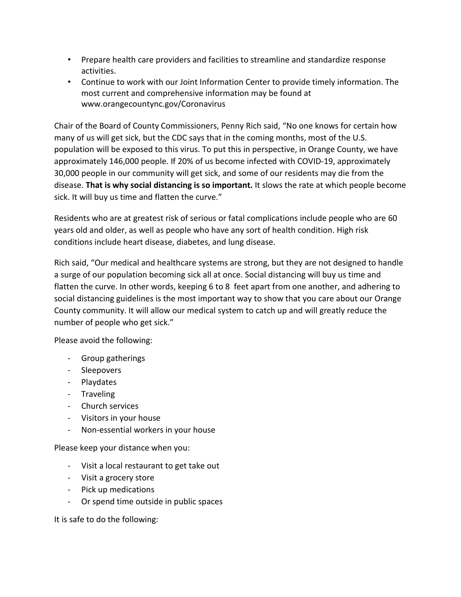- Prepare health care providers and facilities to streamline and standardize response activities.
- Continue to work with our Joint Information Center to provide timely information. The most current and comprehensive information may be found at www.orangecountync.gov/Coronavirus

Chair of the Board of County Commissioners, Penny Rich said, "No one knows for certain how many of us will get sick, but the CDC says that in the coming months, most of the U.S. population will be exposed to this virus. To put this in perspective, in Orange County, we have approximately 146,000 people. If 20% of us become infected with COVID-19, approximately 30,000 people in our community will get sick, and some of our residents may die from the disease. **That is why social distancing is so important.** It slows the rate at which people become sick. It will buy us time and flatten the curve."

Residents who are at greatest risk of serious or fatal complications include people who are 60 years old and older, as well as people who have any sort of health condition. High risk conditions include heart disease, diabetes, and lung disease.

Rich said, "Our medical and healthcare systems are strong, but they are not designed to handle a surge of our population becoming sick all at once. Social distancing will buy us time and flatten the curve. In other words, keeping 6 to 8 feet apart from one another, and adhering to social distancing guidelines is the most important way to show that you care about our Orange County community. It will allow our medical system to catch up and will greatly reduce the number of people who get sick."

Please avoid the following:

- Group gatherings
- Sleepovers
- Playdates
- Traveling
- Church services
- Visitors in your house
- Non-essential workers in your house

Please keep your distance when you:

- Visit a local restaurant to get take out
- Visit a grocery store
- Pick up medications
- Or spend time outside in public spaces

It is safe to do the following: